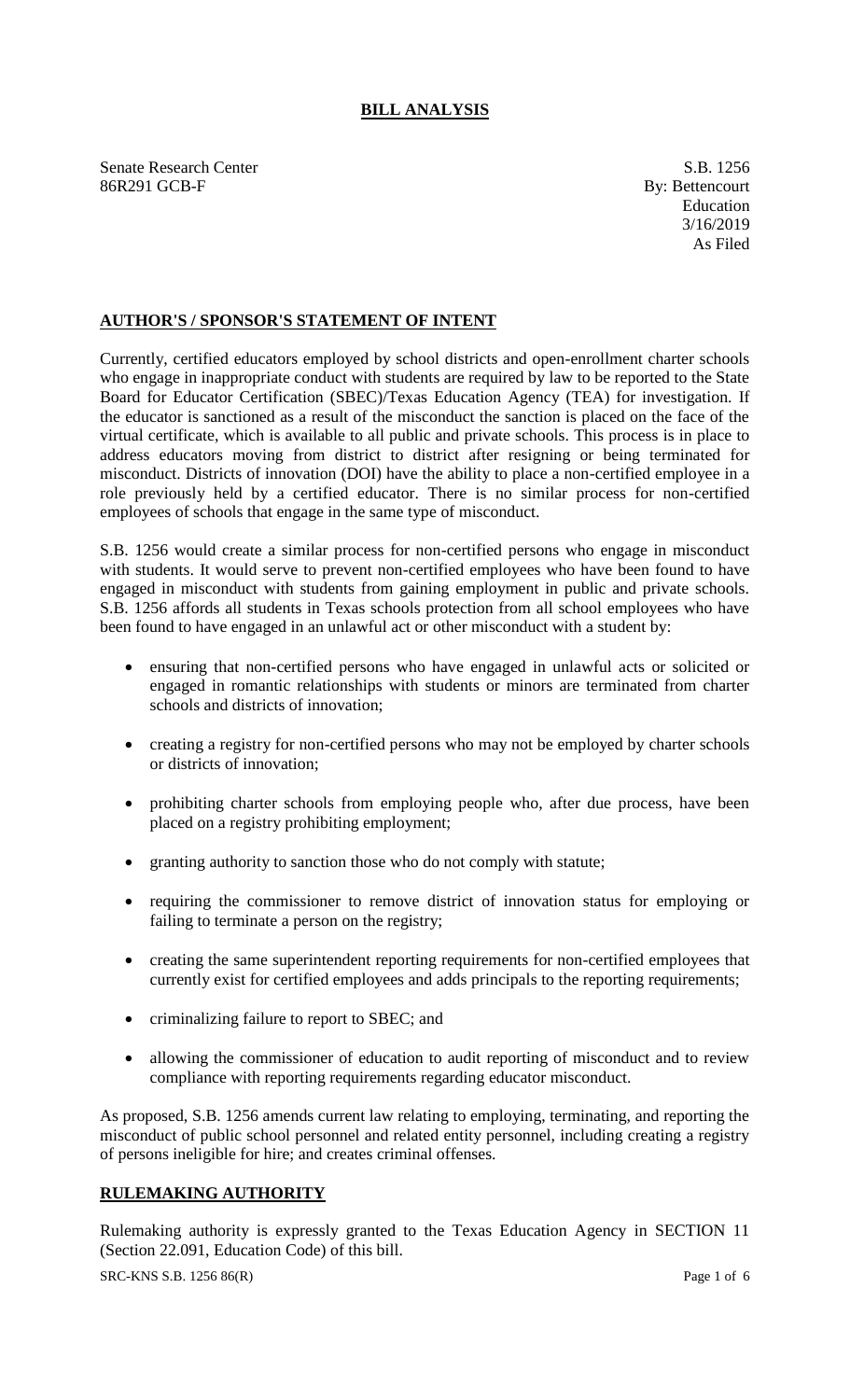## **BILL ANALYSIS**

Senate Research Center S.B. 1256 86R291 GCB-F By: Bettencourt

## **AUTHOR'S / SPONSOR'S STATEMENT OF INTENT**

Currently, certified educators employed by school districts and open-enrollment charter schools who engage in inappropriate conduct with students are required by law to be reported to the State Board for Educator Certification (SBEC)/Texas Education Agency (TEA) for investigation. If the educator is sanctioned as a result of the misconduct the sanction is placed on the face of the virtual certificate, which is available to all public and private schools. This process is in place to address educators moving from district to district after resigning or being terminated for misconduct. Districts of innovation (DOI) have the ability to place a non-certified employee in a role previously held by a certified educator. There is no similar process for non-certified employees of schools that engage in the same type of misconduct.

S.B. 1256 would create a similar process for non-certified persons who engage in misconduct with students. It would serve to prevent non-certified employees who have been found to have engaged in misconduct with students from gaining employment in public and private schools. S.B. 1256 affords all students in Texas schools protection from all school employees who have been found to have engaged in an unlawful act or other misconduct with a student by:

- ensuring that non-certified persons who have engaged in unlawful acts or solicited or engaged in romantic relationships with students or minors are terminated from charter schools and districts of innovation;
- creating a registry for non-certified persons who may not be employed by charter schools or districts of innovation;
- prohibiting charter schools from employing people who, after due process, have been placed on a registry prohibiting employment;
- granting authority to sanction those who do not comply with statute;
- requiring the commissioner to remove district of innovation status for employing or failing to terminate a person on the registry;
- creating the same superintendent reporting requirements for non-certified employees that currently exist for certified employees and adds principals to the reporting requirements;
- criminalizing failure to report to SBEC; and
- allowing the commissioner of education to audit reporting of misconduct and to review compliance with reporting requirements regarding educator misconduct.

As proposed, S.B. 1256 amends current law relating to employing, terminating, and reporting the misconduct of public school personnel and related entity personnel, including creating a registry of persons ineligible for hire; and creates criminal offenses.

# **RULEMAKING AUTHORITY**

Rulemaking authority is expressly granted to the Texas Education Agency in SECTION 11 (Section 22.091, Education Code) of this bill.

SRC-KNS S.B. 1256 86(R) Page 1 of 6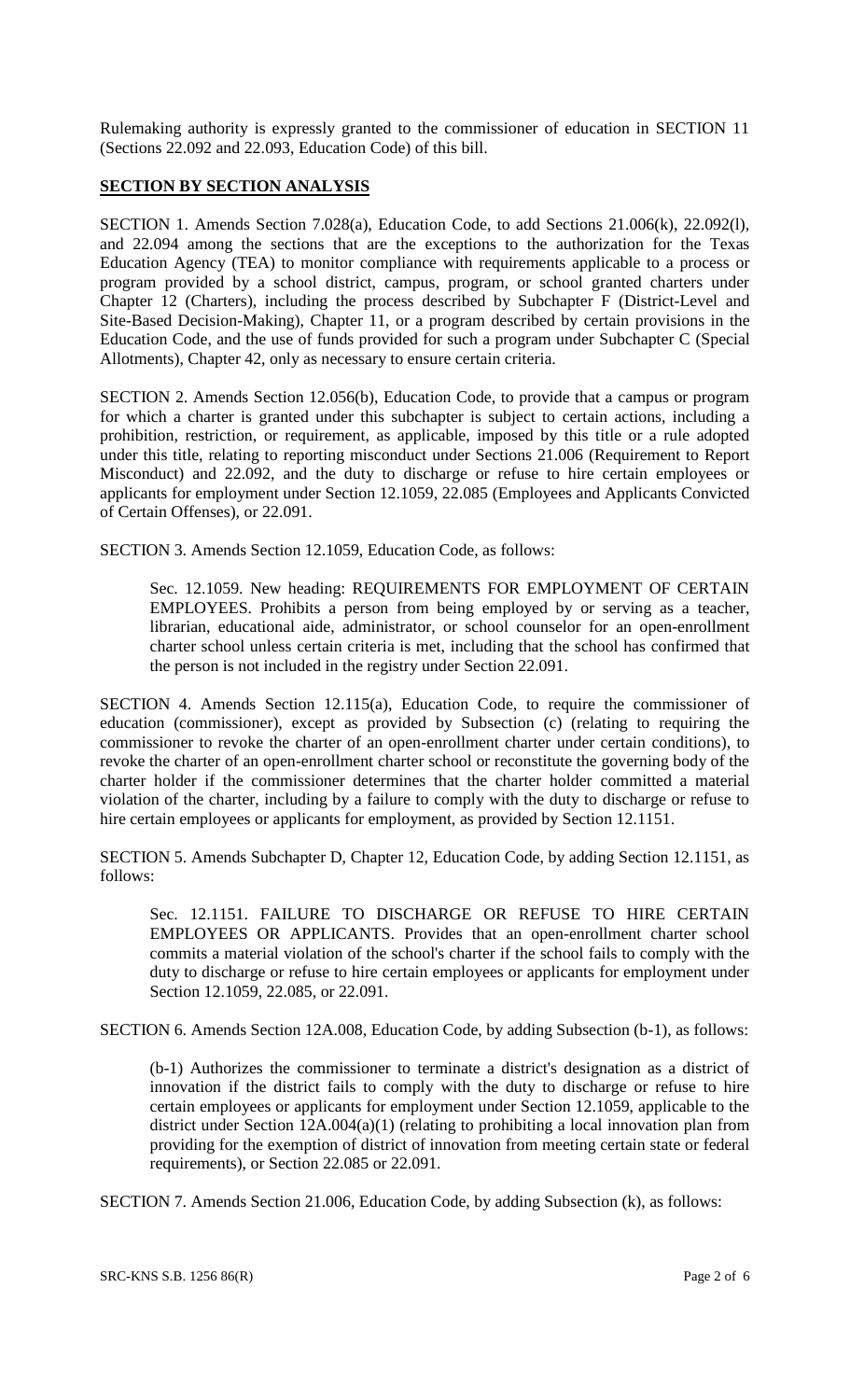Rulemaking authority is expressly granted to the commissioner of education in SECTION 11 (Sections 22.092 and 22.093, Education Code) of this bill.

#### **SECTION BY SECTION ANALYSIS**

SECTION 1. Amends Section 7.028(a), Education Code, to add Sections 21.006(k), 22.092(l), and 22.094 among the sections that are the exceptions to the authorization for the Texas Education Agency (TEA) to monitor compliance with requirements applicable to a process or program provided by a school district, campus, program, or school granted charters under Chapter 12 (Charters), including the process described by Subchapter F (District-Level and Site-Based Decision-Making), Chapter 11, or a program described by certain provisions in the Education Code, and the use of funds provided for such a program under Subchapter C (Special Allotments), Chapter 42, only as necessary to ensure certain criteria.

SECTION 2. Amends Section 12.056(b), Education Code, to provide that a campus or program for which a charter is granted under this subchapter is subject to certain actions, including a prohibition, restriction, or requirement, as applicable, imposed by this title or a rule adopted under this title, relating to reporting misconduct under Sections 21.006 (Requirement to Report Misconduct) and 22.092, and the duty to discharge or refuse to hire certain employees or applicants for employment under Section 12.1059, 22.085 (Employees and Applicants Convicted of Certain Offenses), or 22.091.

SECTION 3. Amends Section 12.1059, Education Code, as follows:

Sec. 12.1059. New heading: REQUIREMENTS FOR EMPLOYMENT OF CERTAIN EMPLOYEES. Prohibits a person from being employed by or serving as a teacher, librarian, educational aide, administrator, or school counselor for an open-enrollment charter school unless certain criteria is met, including that the school has confirmed that the person is not included in the registry under Section 22.091.

SECTION 4. Amends Section 12.115(a), Education Code, to require the commissioner of education (commissioner), except as provided by Subsection (c) (relating to requiring the commissioner to revoke the charter of an open-enrollment charter under certain conditions), to revoke the charter of an open-enrollment charter school or reconstitute the governing body of the charter holder if the commissioner determines that the charter holder committed a material violation of the charter, including by a failure to comply with the duty to discharge or refuse to hire certain employees or applicants for employment, as provided by Section 12.1151.

SECTION 5. Amends Subchapter D, Chapter 12, Education Code, by adding Section 12.1151, as follows:

Sec. 12.1151. FAILURE TO DISCHARGE OR REFUSE TO HIRE CERTAIN EMPLOYEES OR APPLICANTS. Provides that an open-enrollment charter school commits a material violation of the school's charter if the school fails to comply with the duty to discharge or refuse to hire certain employees or applicants for employment under Section 12.1059, 22.085, or 22.091.

SECTION 6. Amends Section 12A.008, Education Code, by adding Subsection (b-1), as follows:

(b-1) Authorizes the commissioner to terminate a district's designation as a district of innovation if the district fails to comply with the duty to discharge or refuse to hire certain employees or applicants for employment under Section 12.1059, applicable to the district under Section 12A.004(a)(1) (relating to prohibiting a local innovation plan from providing for the exemption of district of innovation from meeting certain state or federal requirements), or Section 22.085 or 22.091.

SECTION 7. Amends Section 21.006, Education Code, by adding Subsection (k), as follows: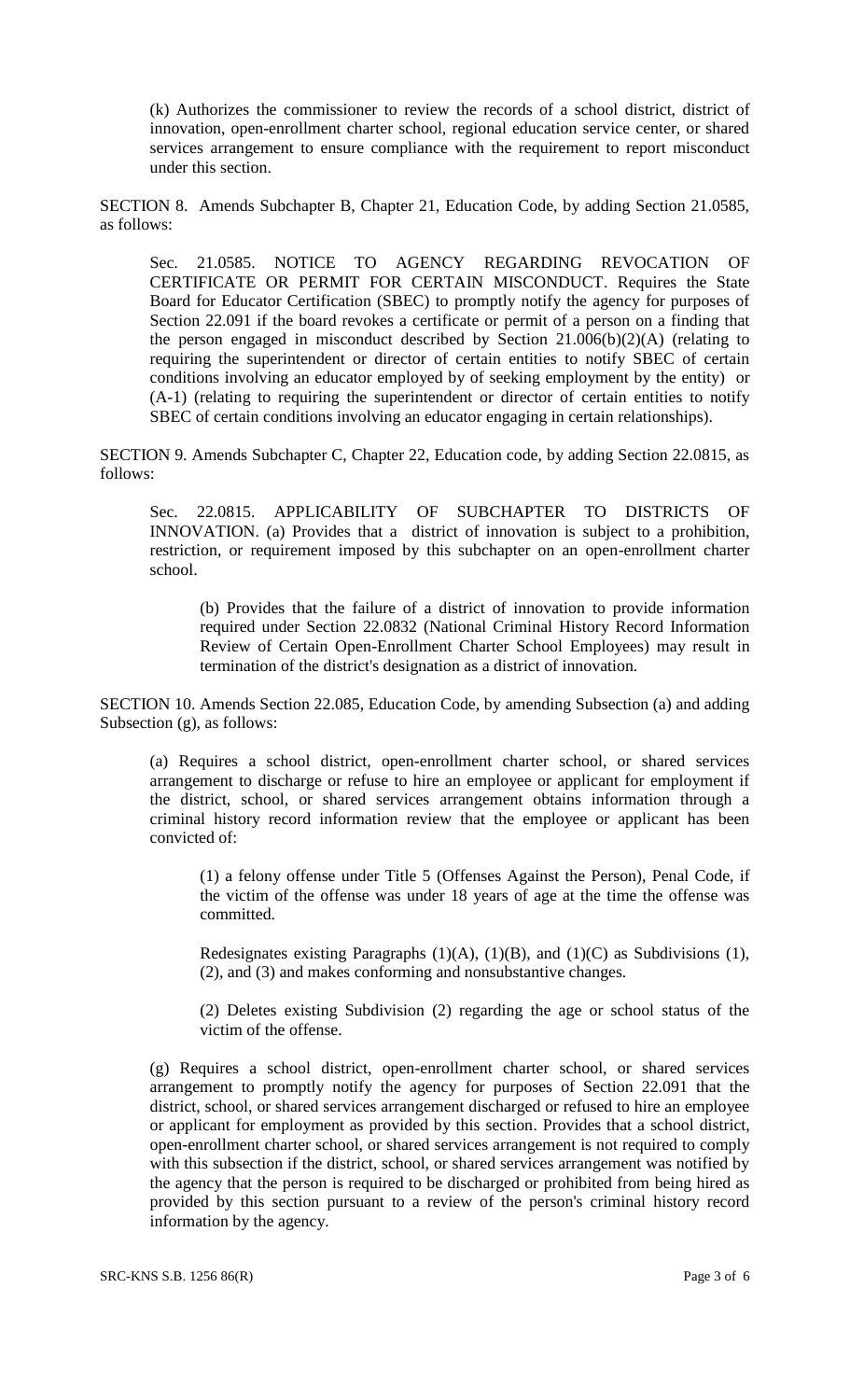(k) Authorizes the commissioner to review the records of a school district, district of innovation, open-enrollment charter school, regional education service center, or shared services arrangement to ensure compliance with the requirement to report misconduct under this section.

SECTION 8. Amends Subchapter B, Chapter 21, Education Code, by adding Section 21.0585, as follows:

Sec. 21.0585. NOTICE TO AGENCY REGARDING REVOCATION OF CERTIFICATE OR PERMIT FOR CERTAIN MISCONDUCT. Requires the State Board for Educator Certification (SBEC) to promptly notify the agency for purposes of Section 22.091 if the board revokes a certificate or permit of a person on a finding that the person engaged in misconduct described by Section  $21.006(b)(2)(A)$  (relating to requiring the superintendent or director of certain entities to notify SBEC of certain conditions involving an educator employed by of seeking employment by the entity) or (A-1) (relating to requiring the superintendent or director of certain entities to notify SBEC of certain conditions involving an educator engaging in certain relationships).

SECTION 9. Amends Subchapter C, Chapter 22, Education code, by adding Section 22.0815, as follows:

Sec. 22.0815. APPLICABILITY OF SUBCHAPTER TO DISTRICTS OF INNOVATION. (a) Provides that a district of innovation is subject to a prohibition, restriction, or requirement imposed by this subchapter on an open-enrollment charter school.

(b) Provides that the failure of a district of innovation to provide information required under Section 22.0832 (National Criminal History Record Information Review of Certain Open-Enrollment Charter School Employees) may result in termination of the district's designation as a district of innovation.

SECTION 10. Amends Section 22.085, Education Code, by amending Subsection (a) and adding Subsection (g), as follows:

(a) Requires a school district, open-enrollment charter school, or shared services arrangement to discharge or refuse to hire an employee or applicant for employment if the district, school, or shared services arrangement obtains information through a criminal history record information review that the employee or applicant has been convicted of:

(1) a felony offense under Title 5 (Offenses Against the Person), Penal Code, if the victim of the offense was under 18 years of age at the time the offense was committed.

Redesignates existing Paragraphs  $(1)(A)$ ,  $(1)(B)$ , and  $(1)(C)$  as Subdivisions  $(1)$ , (2), and (3) and makes conforming and nonsubstantive changes.

(2) Deletes existing Subdivision (2) regarding the age or school status of the victim of the offense.

(g) Requires a school district, open-enrollment charter school, or shared services arrangement to promptly notify the agency for purposes of Section 22.091 that the district, school, or shared services arrangement discharged or refused to hire an employee or applicant for employment as provided by this section. Provides that a school district, open-enrollment charter school, or shared services arrangement is not required to comply with this subsection if the district, school, or shared services arrangement was notified by the agency that the person is required to be discharged or prohibited from being hired as provided by this section pursuant to a review of the person's criminal history record information by the agency.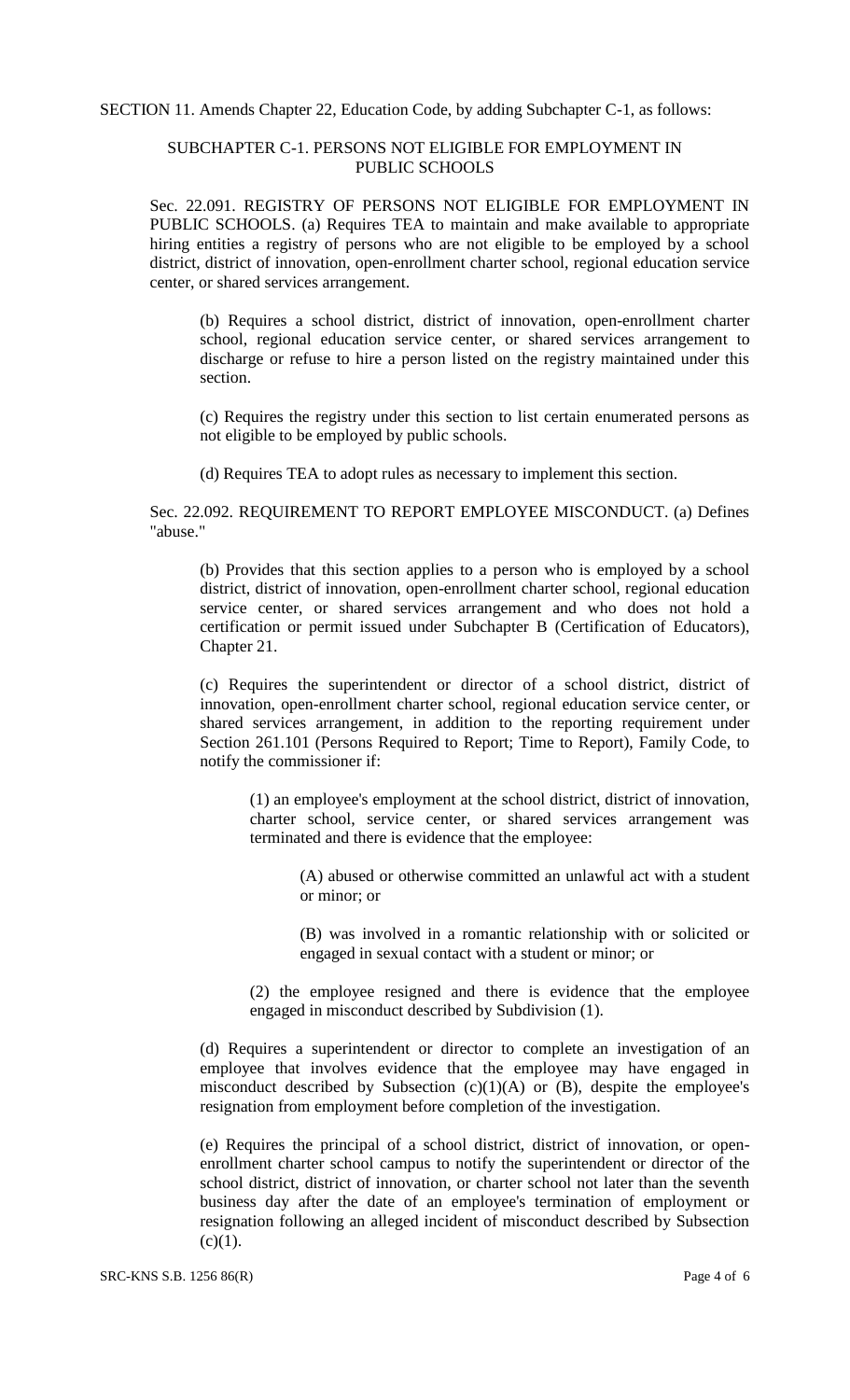SECTION 11. Amends Chapter 22, Education Code, by adding Subchapter C-1, as follows:

### SUBCHAPTER C-1. PERSONS NOT ELIGIBLE FOR EMPLOYMENT IN PUBLIC SCHOOLS

Sec. 22.091. REGISTRY OF PERSONS NOT ELIGIBLE FOR EMPLOYMENT IN PUBLIC SCHOOLS. (a) Requires TEA to maintain and make available to appropriate hiring entities a registry of persons who are not eligible to be employed by a school district, district of innovation, open-enrollment charter school, regional education service center, or shared services arrangement.

(b) Requires a school district, district of innovation, open-enrollment charter school, regional education service center, or shared services arrangement to discharge or refuse to hire a person listed on the registry maintained under this section.

(c) Requires the registry under this section to list certain enumerated persons as not eligible to be employed by public schools.

(d) Requires TEA to adopt rules as necessary to implement this section.

Sec. 22.092. REQUIREMENT TO REPORT EMPLOYEE MISCONDUCT. (a) Defines "abuse."

(b) Provides that this section applies to a person who is employed by a school district, district of innovation, open-enrollment charter school, regional education service center, or shared services arrangement and who does not hold a certification or permit issued under Subchapter B (Certification of Educators), Chapter 21.

(c) Requires the superintendent or director of a school district, district of innovation, open-enrollment charter school, regional education service center, or shared services arrangement, in addition to the reporting requirement under Section 261.101 (Persons Required to Report; Time to Report), Family Code, to notify the commissioner if:

(1) an employee's employment at the school district, district of innovation, charter school, service center, or shared services arrangement was terminated and there is evidence that the employee:

(A) abused or otherwise committed an unlawful act with a student or minor; or

(B) was involved in a romantic relationship with or solicited or engaged in sexual contact with a student or minor; or

(2) the employee resigned and there is evidence that the employee engaged in misconduct described by Subdivision (1).

(d) Requires a superintendent or director to complete an investigation of an employee that involves evidence that the employee may have engaged in misconduct described by Subsection  $(c)(1)(A)$  or  $(B)$ , despite the employee's resignation from employment before completion of the investigation.

(e) Requires the principal of a school district, district of innovation, or openenrollment charter school campus to notify the superintendent or director of the school district, district of innovation, or charter school not later than the seventh business day after the date of an employee's termination of employment or resignation following an alleged incident of misconduct described by Subsection  $(c)(1)$ .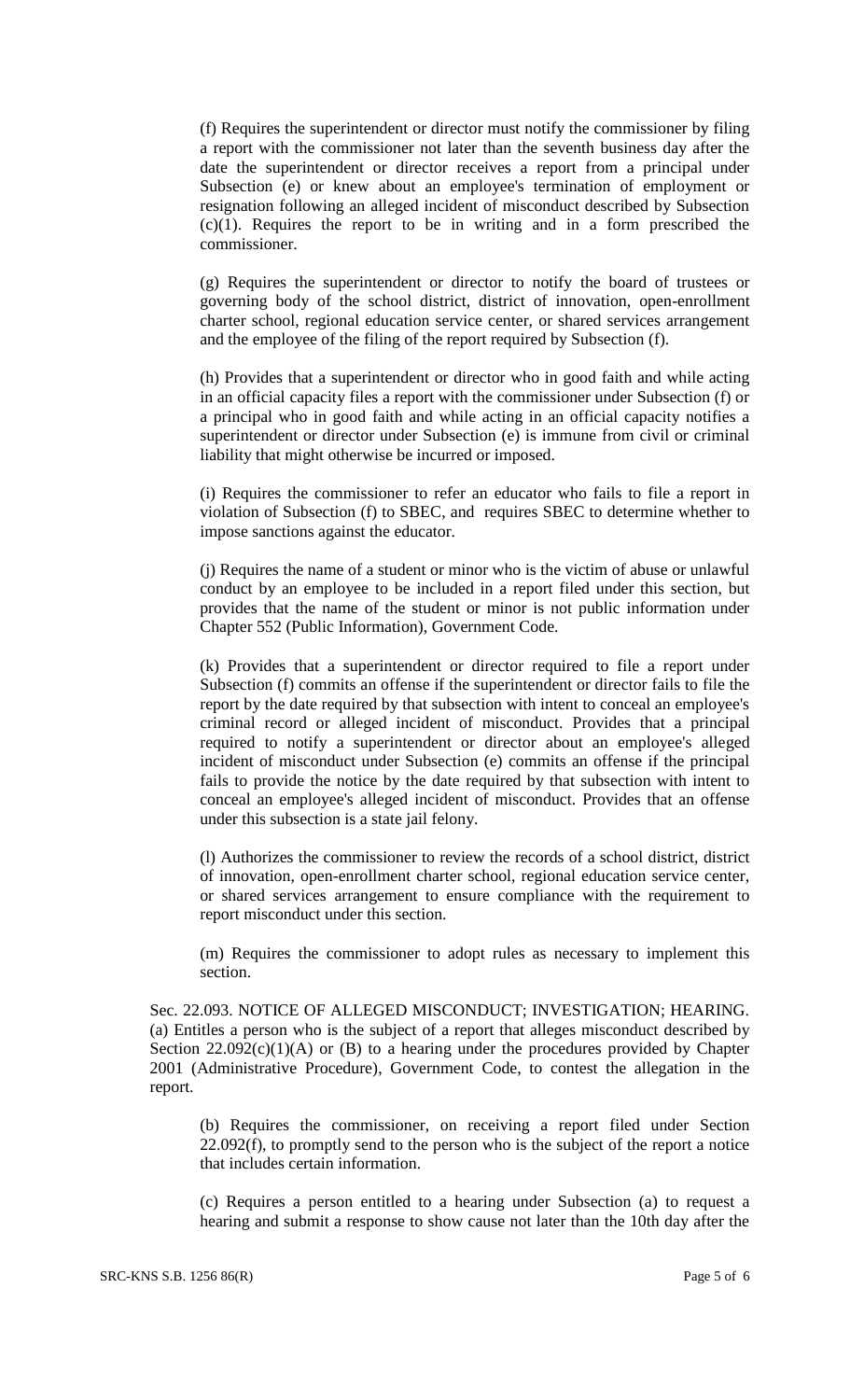(f) Requires the superintendent or director must notify the commissioner by filing a report with the commissioner not later than the seventh business day after the date the superintendent or director receives a report from a principal under Subsection (e) or knew about an employee's termination of employment or resignation following an alleged incident of misconduct described by Subsection (c)(1). Requires the report to be in writing and in a form prescribed the commissioner.

(g) Requires the superintendent or director to notify the board of trustees or governing body of the school district, district of innovation, open-enrollment charter school, regional education service center, or shared services arrangement and the employee of the filing of the report required by Subsection (f).

(h) Provides that a superintendent or director who in good faith and while acting in an official capacity files a report with the commissioner under Subsection (f) or a principal who in good faith and while acting in an official capacity notifies a superintendent or director under Subsection (e) is immune from civil or criminal liability that might otherwise be incurred or imposed.

(i) Requires the commissioner to refer an educator who fails to file a report in violation of Subsection (f) to SBEC, and requires SBEC to determine whether to impose sanctions against the educator.

(j) Requires the name of a student or minor who is the victim of abuse or unlawful conduct by an employee to be included in a report filed under this section, but provides that the name of the student or minor is not public information under Chapter 552 (Public Information), Government Code.

(k) Provides that a superintendent or director required to file a report under Subsection (f) commits an offense if the superintendent or director fails to file the report by the date required by that subsection with intent to conceal an employee's criminal record or alleged incident of misconduct. Provides that a principal required to notify a superintendent or director about an employee's alleged incident of misconduct under Subsection (e) commits an offense if the principal fails to provide the notice by the date required by that subsection with intent to conceal an employee's alleged incident of misconduct. Provides that an offense under this subsection is a state jail felony.

(l) Authorizes the commissioner to review the records of a school district, district of innovation, open-enrollment charter school, regional education service center, or shared services arrangement to ensure compliance with the requirement to report misconduct under this section.

(m) Requires the commissioner to adopt rules as necessary to implement this section.

Sec. 22.093. NOTICE OF ALLEGED MISCONDUCT; INVESTIGATION; HEARING. (a) Entitles a person who is the subject of a report that alleges misconduct described by Section  $22.092(c)(1)(A)$  or (B) to a hearing under the procedures provided by Chapter 2001 (Administrative Procedure), Government Code, to contest the allegation in the report.

(b) Requires the commissioner, on receiving a report filed under Section 22.092(f), to promptly send to the person who is the subject of the report a notice that includes certain information.

(c) Requires a person entitled to a hearing under Subsection (a) to request a hearing and submit a response to show cause not later than the 10th day after the